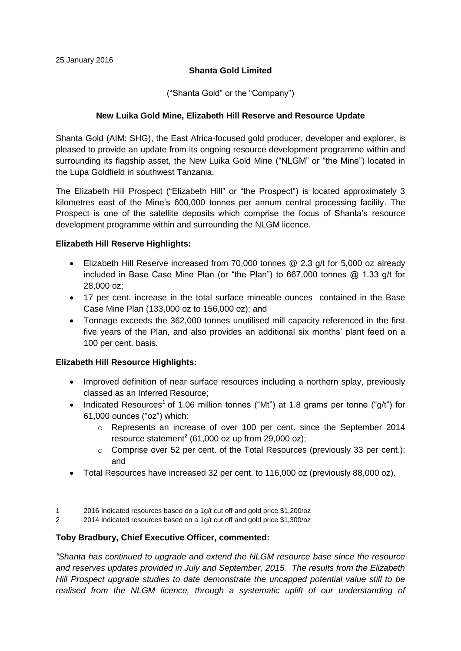## **Shanta Gold Limited**

("Shanta Gold" or the "Company")

## **New Luika Gold Mine, Elizabeth Hill Reserve and Resource Update**

Shanta Gold (AIM: SHG), the East Africa-focused gold producer, developer and explorer, is pleased to provide an update from its ongoing resource development programme within and surrounding its flagship asset, the New Luika Gold Mine ("NLGM" or "the Mine") located in the Lupa Goldfield in southwest Tanzania.

The Elizabeth Hill Prospect ("Elizabeth Hill" or "the Prospect") is located approximately 3 kilometres east of the Mine's 600,000 tonnes per annum central processing facility. The Prospect is one of the satellite deposits which comprise the focus of Shanta's resource development programme within and surrounding the NLGM licence.

## **Elizabeth Hill Reserve Highlights:**

- Elizabeth Hill Reserve increased from 70,000 tonnes @ 2.3 g/t for 5,000 oz already included in Base Case Mine Plan (or "the Plan") to 667,000 tonnes @ 1.33 g/t for 28,000 oz;
- 17 per cent. increase in the total surface mineable ounces contained in the Base Case Mine Plan (133,000 oz to 156,000 oz); and
- Tonnage exceeds the 362,000 tonnes unutilised mill capacity referenced in the first five years of the Plan, and also provides an additional six months' plant feed on a 100 per cent. basis.

# **Elizabeth Hill Resource Highlights:**

- Improved definition of near surface resources including a northern splay, previously classed as an Inferred Resource;
- Indicated Resources<sup>1</sup> of 1.06 million tonnes ("Mt") at 1.8 grams per tonne ("g/t") for 61,000 ounces ("oz") which:
	- o Represents an increase of over 100 per cent. since the September 2014 resource statement<sup>2</sup> (61,000 oz up from 29,000 oz);
	- o Comprise over 52 per cent. of the Total Resources (previously 33 per cent.); and
- Total Resources have increased 32 per cent. to 116,000 oz (previously 88,000 oz).
- 1 2016 Indicated resources based on a 1g/t cut off and gold price \$1,200/oz
- 2 2014 Indicated resources based on a 1g/t cut off and gold price \$1,300/oz

## **Toby Bradbury, Chief Executive Officer, commented:**

*"Shanta has continued to upgrade and extend the NLGM resource base since the resource and reserves updates provided in July and September, 2015. The results from the Elizabeth Hill Prospect upgrade studies to date demonstrate the uncapped potential value still to be realised from the NLGM licence, through a systematic uplift of our understanding of*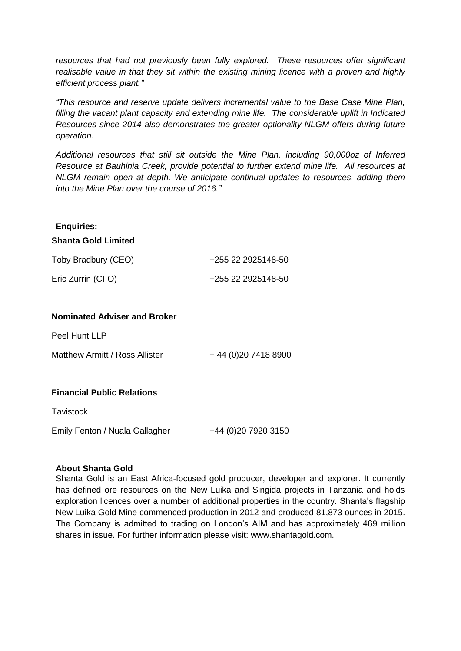*resources that had not previously been fully explored. These resources offer significant realisable value in that they sit within the existing mining licence with a proven and highly efficient process plant."*

*"This resource and reserve update delivers incremental value to the Base Case Mine Plan, filling the vacant plant capacity and extending mine life. The considerable uplift in Indicated Resources since 2014 also demonstrates the greater optionality NLGM offers during future operation.* 

*Additional resources that still sit outside the Mine Plan, including 90,000oz of Inferred Resource at Bauhinia Creek, provide potential to further extend mine life. All resources at NLGM remain open at depth. We anticipate continual updates to resources, adding them into the Mine Plan over the course of 2016."*

#### **Enquiries:**

#### **Shanta Gold Limited**

| Toby Bradbury (CEO) | +255 22 2925148-50 |
|---------------------|--------------------|
| Eric Zurrin (CFO)   | +255 22 2925148-50 |

## **Nominated Adviser and Broker**

Peel Hunt LLP

Matthew Armitt / Ross Allister  $+44(0)2074188900$ 

## **Financial Public Relations**

**Tavistock** 

Emily Fenton / Nuala Gallagher +44 (0)20 7920 3150

#### **About Shanta Gold**

Shanta Gold is an East Africa-focused gold producer, developer and explorer. It currently has defined ore resources on the New Luika and Singida projects in Tanzania and holds exploration licences over a number of additional properties in the country. Shanta's flagship New Luika Gold Mine commenced production in 2012 and produced 81,873 ounces in 2015. The Company is admitted to trading on London's AIM and has approximately 469 million shares in issue. For further information please visit: www.shantagold.com.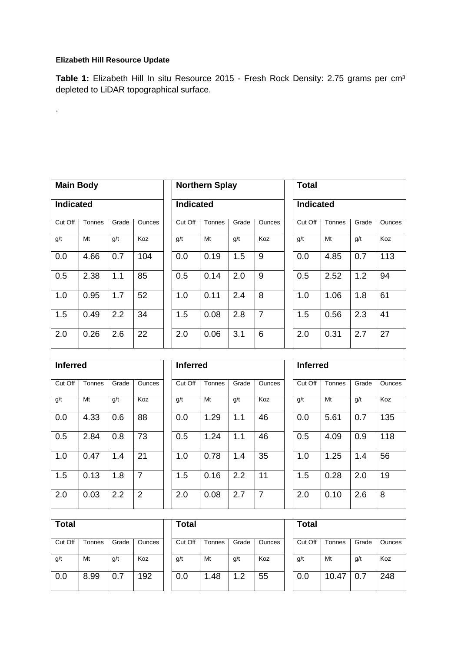# **Elizabeth Hill Resource Update**

.

Table 1: Elizabeth Hill In situ Resource 2015 - Fresh Rock Density: 2.75 grams per cm<sup>3</sup> depleted to LiDAR topographical surface.

| <b>Main Body</b> |        |       | <b>Northern Splay</b><br><b>Total</b> |                 |                |       |                  |              |                  |        |       |               |  |
|------------------|--------|-------|---------------------------------------|-----------------|----------------|-------|------------------|--------------|------------------|--------|-------|---------------|--|
| <b>Indicated</b> |        |       |                                       | Indicated       |                |       |                  |              | <b>Indicated</b> |        |       |               |  |
| Cut Off          | Tonnes | Grade | Ounces                                | Cut Off         | Tonnes         | Grade | Ounces           | Cut Off      |                  | Tonnes | Grade | <b>Ounces</b> |  |
| g/t              | Mt     | g/t   | Koz                                   | g/t             | M <sub>t</sub> | g/t   | Koz              | g/t          |                  | Mt     | g/t   | Koz           |  |
| 0.0              | 4.66   | 0.7   | 104                                   | 0.0             | 0.19           | 1.5   | $9\,$            | 0.0          |                  | 4.85   | 0.7   | 113           |  |
| 0.5              | 2.38   | 1.1   | 85                                    | 0.5             | 0.14           | 2.0   | $\boldsymbol{9}$ | 0.5          |                  | 2.52   | 1.2   | 94            |  |
| 1.0              | 0.95   | 1.7   | 52                                    | 1.0             | 0.11           | 2.4   | 8                | 1.0          |                  | 1.06   | 1.8   | 61            |  |
| 1.5              | 0.49   | 2.2   | 34                                    | 1.5             | 0.08           | 2.8   | $\overline{7}$   | 1.5          |                  | 0.56   | 2.3   | 41            |  |
| 2.0              | 0.26   | 2.6   | 22                                    | 2.0             | 0.06           | 3.1   | 6                | 2.0          |                  | 0.31   | 2.7   | 27            |  |
|                  |        |       |                                       |                 |                |       |                  |              |                  |        |       |               |  |
| <b>Inferred</b>  |        |       |                                       | <b>Inferred</b> |                |       |                  |              | <b>Inferred</b>  |        |       |               |  |
| Cut Off          | Tonnes | Grade | Ounces                                | Cut Off         | Tonnes         | Grade | Ounces           | Cut Off      |                  | Tonnes | Grade | Ounces        |  |
| g/t              | Mt     | g/t   | Koz                                   | g/t             | Mt             | g/t   | Koz              | g/t          |                  | Mt     | g/t   | Koz           |  |
| 0.0              | 4.33   | 0.6   | 88                                    | 0.0             | 1.29           | 1.1   | 46               | 0.0          |                  | 5.61   | 0.7   | 135           |  |
| 0.5              | 2.84   | 0.8   | 73                                    | 0.5             | 1.24           | 1.1   | 46               | 0.5          |                  | 4.09   | 0.9   | 118           |  |
| 1.0              | 0.47   | 1.4   | 21                                    | 1.0             | 0.78           | 1.4   | 35               | 1.0          |                  | 1.25   | 1.4   | 56            |  |
| 1.5              | 0.13   | 1.8   | $\overline{7}$                        | 1.5             | 0.16           | 2.2   | 11               | 1.5          |                  | 0.28   | 2.0   | 19            |  |
| 2.0              | 0.03   | 2.2   | $\overline{2}$                        | 2.0             | 0.08           | 2.7   | $\overline{7}$   | 2.0          |                  | 0.10   | 2.6   | 8             |  |
|                  |        |       |                                       |                 |                |       |                  |              |                  |        |       |               |  |
| <b>Total</b>     |        |       |                                       | <b>Total</b>    |                |       |                  | <b>Total</b> |                  |        |       |               |  |
| Cut Off          | Tonnes | Grade | Ounces                                | Cut Off         | Tonnes         | Grade | Ounces           | Cut Off      |                  | Tonnes | Grade | Ounces        |  |
| g/t              | Mt     | g/t   | Koz                                   | q/t             | Mt             | g/t   | Koz              | g/t          |                  | Mt     | q/t   | Koz           |  |
| 0.0              | 8.99   | 0.7   | 192                                   | 0.0             | 1.48           | 1.2   | 55               | 0.0          |                  | 10.47  | 0.7   | 248           |  |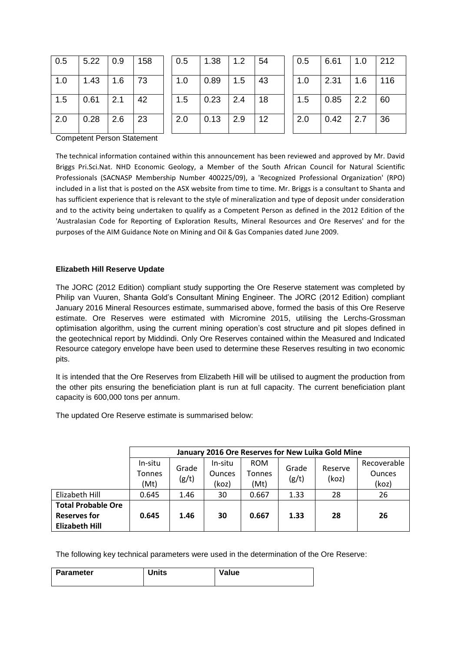| 0.5 | $5.22 \cdot 0.9$ |                   | 158  | 0.5 | $\vert$ 1.38       | $\vert$ 1.2       | 54 | 0.5 | 6.61 | 1.0 | 212 |
|-----|------------------|-------------------|------|-----|--------------------|-------------------|----|-----|------|-----|-----|
| 1.0 | $1.43$   1.6     |                   | l 73 | 1.0 | $\vert 0.89 \vert$ | $\overline{1.5}$  | 43 | 1.0 | 2.31 | 1.6 | 116 |
| 1.5 | 0.61             | $\vert$ 2.1       | 42   | 1.5 | $\vert$ 0.23       | $\vert 2.4 \vert$ | 18 | 1.5 | 0.85 | 2.2 | 60  |
| 2.0 | 0.28             | $\vert 2.6 \vert$ | 23   | 2.0 | 0.13               | 2.9               | 12 | 2.0 | 0.42 | 2.7 | 36  |

Competent Person Statement

The technical information contained within this announcement has been reviewed and approved by Mr. David Briggs Pri.Sci.Nat. NHD Economic Geology, a Member of the South African Council for Natural Scientific Professionals (SACNASP Membership Number 400225/09), a 'Recognized Professional Organization' (RPO) included in a list that is posted on the ASX website from time to time. Mr. Briggs is a consultant to Shanta and has sufficient experience that is relevant to the style of mineralization and type of deposit under consideration and to the activity being undertaken to qualify as a Competent Person as defined in the 2012 Edition of the 'Australasian Code for Reporting of Exploration Results, Mineral Resources and Ore Reserves' and for the purposes of the AIM Guidance Note on Mining and Oil & Gas Companies dated June 2009.

#### **Elizabeth Hill Reserve Update**

The JORC (2012 Edition) compliant study supporting the Ore Reserve statement was completed by Philip van Vuuren, Shanta Gold's Consultant Mining Engineer. The JORC (2012 Edition) compliant January 2016 Mineral Resources estimate, summarised above, formed the basis of this Ore Reserve estimate. Ore Reserves were estimated with Micromine 2015, utilising the Lerchs-Grossman optimisation algorithm, using the current mining operation's cost structure and pit slopes defined in the geotechnical report by Middindi. Only Ore Reserves contained within the Measured and Indicated Resource category envelope have been used to determine these Reserves resulting in two economic pits.

It is intended that the Ore Reserves from Elizabeth Hill will be utilised to augment the production from the other pits ensuring the beneficiation plant is run at full capacity. The current beneficiation plant capacity is 600,000 tons per annum.

The updated Ore Reserve estimate is summarised below:

|                           |               | January 2016 Ore Reserves for New Luika Gold Mine |               |               |       |         |               |
|---------------------------|---------------|---------------------------------------------------|---------------|---------------|-------|---------|---------------|
|                           | In-situ       |                                                   | In-situ       | <b>ROM</b>    |       |         | Recoverable   |
|                           | <b>Tonnes</b> | Grade                                             | <b>Ounces</b> | <b>Tonnes</b> | Grade | Reserve | <b>Ounces</b> |
|                           | (Mt)          | (g/t)                                             | (koz)         | (Mt)          | (g/t) | (koz)   | (koz)         |
| Elizabeth Hill            | 0.645         | 1.46                                              | 30            | 0.667         | 1.33  | 28      | 26            |
| <b>Total Probable Ore</b> |               |                                                   |               |               |       |         |               |
| <b>Reserves for</b>       | 0.645         | 1.46                                              | 30            | 0.667         | 1.33  | 28      | 26            |
| <b>Elizabeth Hill</b>     |               |                                                   |               |               |       |         |               |

The following key technical parameters were used in the determination of the Ore Reserve:

| <b>Parameter</b> | <b>Units</b> | Value |
|------------------|--------------|-------|
|                  |              |       |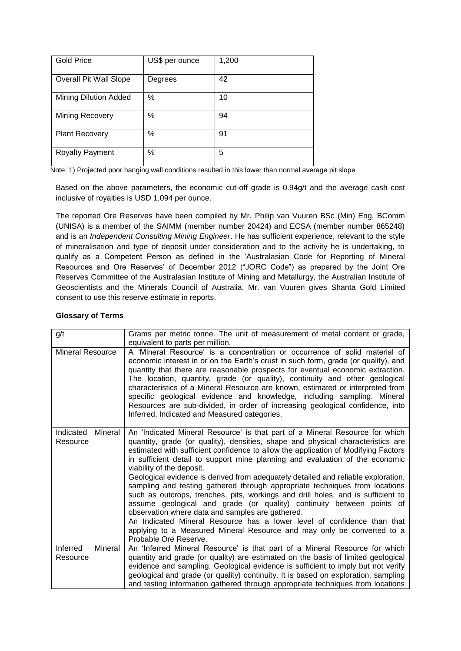| <b>Gold Price</b>            | US\$ per ounce | 1,200 |
|------------------------------|----------------|-------|
| Overall Pit Wall Slope       | Degrees        | 42    |
| <b>Mining Dilution Added</b> | $\%$           | 10    |
| Mining Recovery              | $\%$           | 94    |
| <b>Plant Recovery</b>        | %              | 91    |
| <b>Royalty Payment</b>       | %              | 5     |

Note: 1) Projected poor hanging wall conditions resulted in this lower than normal average pit slope

Based on the above parameters, the economic cut-off grade is 0.94g/t and the average cash cost inclusive of royalties is USD 1,094 per ounce.

The reported Ore Reserves have been compiled by Mr. Philip van Vuuren BSc (Min) Eng, BComm (UNISA) is a member of the SAIMM (member number 20424) and ECSA (member number 865248) and is an *Independent Consulting Mining Engineer*. He has sufficient experience, relevant to the style of mineralisation and type of deposit under consideration and to the activity he is undertaking, to qualify as a Competent Person as defined in the 'Australasian Code for Reporting of Mineral Resources and Ore Reserves' of December 2012 ("JORC Code") as prepared by the Joint Ore Reserves Committee of the Australasian Institute of Mining and Metallurgy, the Australian Institute of Geoscientists and the Minerals Council of Australia. Mr. van Vuuren gives Shanta Gold Limited consent to use this reserve estimate in reports.

#### **Glossary of Terms**

| g/t                              | Grams per metric tonne. The unit of measurement of metal content or grade,<br>equivalent to parts per million.                                                                                                                                                                                                                                                                                                                                                                                                                                                                                                                                                                                                                                                                                                                                                                                                                        |
|----------------------------------|---------------------------------------------------------------------------------------------------------------------------------------------------------------------------------------------------------------------------------------------------------------------------------------------------------------------------------------------------------------------------------------------------------------------------------------------------------------------------------------------------------------------------------------------------------------------------------------------------------------------------------------------------------------------------------------------------------------------------------------------------------------------------------------------------------------------------------------------------------------------------------------------------------------------------------------|
| <b>Mineral Resource</b>          | A 'Mineral Resource' is a concentration or occurrence of solid material of<br>economic interest in or on the Earth's crust in such form, grade (or quality), and<br>quantity that there are reasonable prospects for eventual economic extraction.<br>The location, quantity, grade (or quality), continuity and other geological<br>characteristics of a Mineral Resource are known, estimated or interpreted from<br>specific geological evidence and knowledge, including sampling. Mineral<br>Resources are sub-divided, in order of increasing geological confidence, into<br>Inferred, Indicated and Measured categories.                                                                                                                                                                                                                                                                                                       |
| Indicated<br>Mineral<br>Resource | An 'Indicated Mineral Resource' is that part of a Mineral Resource for which<br>quantity, grade (or quality), densities, shape and physical characteristics are<br>estimated with sufficient confidence to allow the application of Modifying Factors<br>in sufficient detail to support mine planning and evaluation of the economic<br>viability of the deposit.<br>Geological evidence is derived from adequately detailed and reliable exploration,<br>sampling and testing gathered through appropriate techniques from locations<br>such as outcrops, trenches, pits, workings and drill holes, and is sufficient to<br>assume geological and grade (or quality) continuity between points of<br>observation where data and samples are gathered.<br>An Indicated Mineral Resource has a lower level of confidence than that<br>applying to a Measured Mineral Resource and may only be converted to a<br>Probable Ore Reserve. |
| Inferred<br>Mineral<br>Resource  | An 'Inferred Mineral Resource' is that part of a Mineral Resource for which<br>quantity and grade (or quality) are estimated on the basis of limited geological<br>evidence and sampling. Geological evidence is sufficient to imply but not verify<br>geological and grade (or quality) continuity. It is based on exploration, sampling<br>and testing information gathered through appropriate techniques from locations                                                                                                                                                                                                                                                                                                                                                                                                                                                                                                           |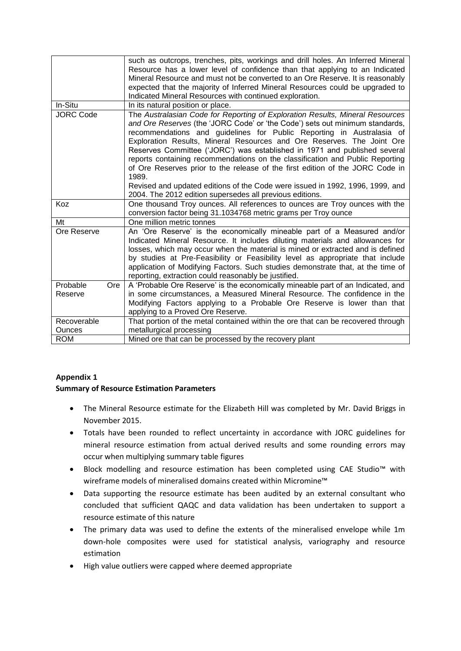|                              | such as outcrops, trenches, pits, workings and drill holes. An Inferred Mineral<br>Resource has a lower level of confidence than that applying to an Indicated<br>Mineral Resource and must not be converted to an Ore Reserve. It is reasonably<br>expected that the majority of Inferred Mineral Resources could be upgraded to<br>Indicated Mineral Resources with continued exploration.                                                                                                                                                                                                                                                                                                                          |
|------------------------------|-----------------------------------------------------------------------------------------------------------------------------------------------------------------------------------------------------------------------------------------------------------------------------------------------------------------------------------------------------------------------------------------------------------------------------------------------------------------------------------------------------------------------------------------------------------------------------------------------------------------------------------------------------------------------------------------------------------------------|
| In-Situ                      | In its natural position or place.                                                                                                                                                                                                                                                                                                                                                                                                                                                                                                                                                                                                                                                                                     |
| <b>JORC Code</b>             | The Australasian Code for Reporting of Exploration Results, Mineral Resources<br>and Ore Reserves (the 'JORC Code' or 'the Code') sets out minimum standards,<br>recommendations and guidelines for Public Reporting in Australasia of<br>Exploration Results, Mineral Resources and Ore Reserves. The Joint Ore<br>Reserves Committee ('JORC') was established in 1971 and published several<br>reports containing recommendations on the classification and Public Reporting<br>of Ore Reserves prior to the release of the first edition of the JORC Code in<br>1989.<br>Revised and updated editions of the Code were issued in 1992, 1996, 1999, and<br>2004. The 2012 edition supersedes all previous editions. |
| Koz                          | One thousand Troy ounces. All references to ounces are Troy ounces with the                                                                                                                                                                                                                                                                                                                                                                                                                                                                                                                                                                                                                                           |
|                              | conversion factor being 31.1034768 metric grams per Troy ounce                                                                                                                                                                                                                                                                                                                                                                                                                                                                                                                                                                                                                                                        |
| Mt                           | One million metric tonnes                                                                                                                                                                                                                                                                                                                                                                                                                                                                                                                                                                                                                                                                                             |
| Ore Reserve                  | An 'Ore Reserve' is the economically mineable part of a Measured and/or<br>Indicated Mineral Resource. It includes diluting materials and allowances for<br>losses, which may occur when the material is mined or extracted and is defined<br>by studies at Pre-Feasibility or Feasibility level as appropriate that include<br>application of Modifying Factors. Such studies demonstrate that, at the time of<br>reporting, extraction could reasonably be justified.                                                                                                                                                                                                                                               |
| Probable<br>Ore<br>Reserve   | A 'Probable Ore Reserve' is the economically mineable part of an Indicated, and<br>in some circumstances, a Measured Mineral Resource. The confidence in the<br>Modifying Factors applying to a Probable Ore Reserve is lower than that<br>applying to a Proved Ore Reserve.                                                                                                                                                                                                                                                                                                                                                                                                                                          |
| Recoverable<br><b>Ounces</b> | That portion of the metal contained within the ore that can be recovered through<br>metallurgical processing                                                                                                                                                                                                                                                                                                                                                                                                                                                                                                                                                                                                          |
| <b>ROM</b>                   | Mined ore that can be processed by the recovery plant                                                                                                                                                                                                                                                                                                                                                                                                                                                                                                                                                                                                                                                                 |

# **Appendix 1**

## **Summary of Resource Estimation Parameters**

- The Mineral Resource estimate for the Elizabeth Hill was completed by Mr. David Briggs in November 2015.
- Totals have been rounded to reflect uncertainty in accordance with JORC guidelines for mineral resource estimation from actual derived results and some rounding errors may occur when multiplying summary table figures
- Block modelling and resource estimation has been completed using CAE Studio™ with wireframe models of mineralised domains created within Micromine™
- Data supporting the resource estimate has been audited by an external consultant who concluded that sufficient QAQC and data validation has been undertaken to support a resource estimate of this nature
- The primary data was used to define the extents of the mineralised envelope while 1m down-hole composites were used for statistical analysis, variography and resource estimation
- High value outliers were capped where deemed appropriate